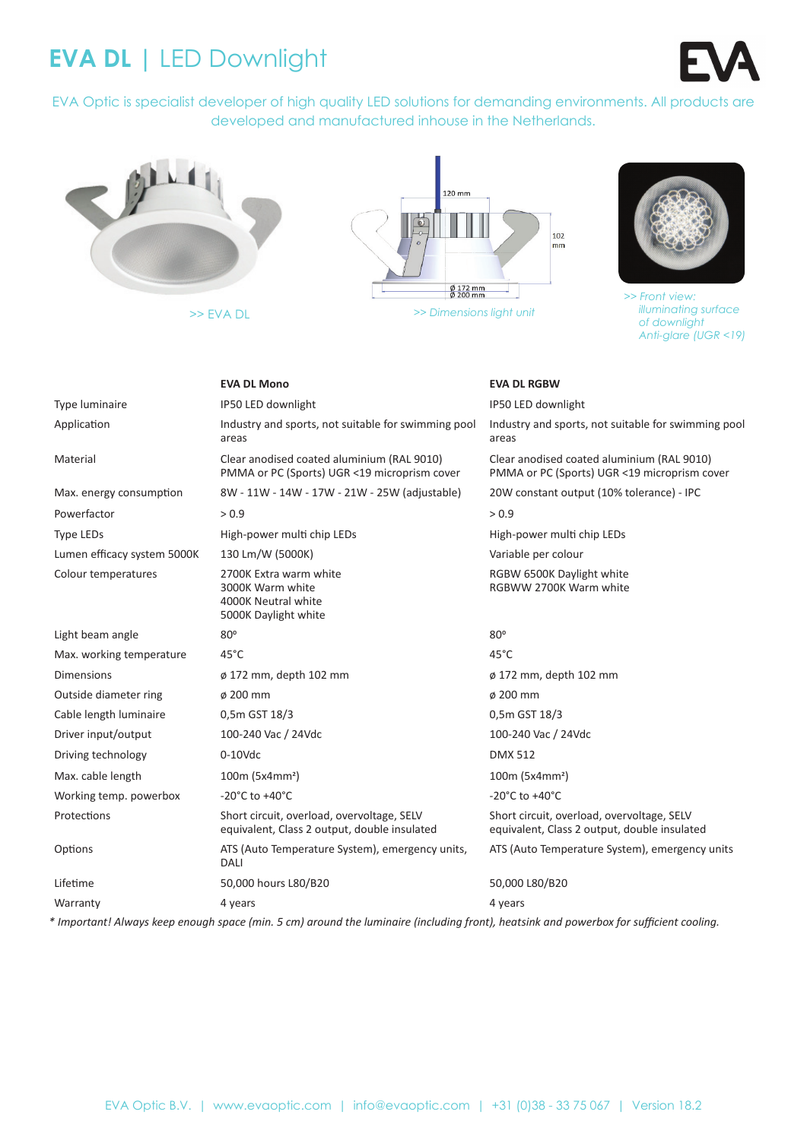# **EVA DL |** LED Downlight

EVA Optic is specialist developer of high quality LED solutions for demanding environments. All products are developed and manufactured inhouse in the Netherlands.



>> EVA DL





*>> Front view: illuminating surface of downlight Anti-glare (UGR <19)*

|                             | <b>EVA DL Mono</b>                                                                         | <b>EVA DL RGBW</b>                                                                         |
|-----------------------------|--------------------------------------------------------------------------------------------|--------------------------------------------------------------------------------------------|
| Type luminaire              | IP50 LED downlight                                                                         | IP50 LED downlight                                                                         |
| Application                 | Industry and sports, not suitable for swimming pool<br>areas                               | Industry and sports, not suitable for swimming pool<br>areas                               |
| Material                    | Clear anodised coated aluminium (RAL 9010)<br>PMMA or PC (Sports) UGR <19 microprism cover | Clear anodised coated aluminium (RAL 9010)<br>PMMA or PC (Sports) UGR <19 microprism cover |
| Max. energy consumption     | 8W - 11W - 14W - 17W - 21W - 25W (adjustable)                                              | 20W constant output (10% tolerance) - IPC                                                  |
| Powerfactor                 | > 0.9                                                                                      | > 0.9                                                                                      |
| <b>Type LEDs</b>            | High-power multi chip LEDs                                                                 | High-power multi chip LEDs                                                                 |
| Lumen efficacy system 5000K | 130 Lm/W (5000K)                                                                           | Variable per colour                                                                        |
| Colour temperatures         | 2700K Extra warm white<br>3000K Warm white<br>4000K Neutral white<br>5000K Daylight white  | RGBW 6500K Daylight white<br>RGBWW 2700K Warm white                                        |
| Light beam angle            | 80°                                                                                        | $80^\circ$                                                                                 |
| Max. working temperature    | $45^{\circ}$ C                                                                             | $45^{\circ}$ C                                                                             |
| <b>Dimensions</b>           | ø 172 mm, depth 102 mm                                                                     | ø 172 mm, depth 102 mm                                                                     |
| Outside diameter ring       | ø 200 mm                                                                                   | ø 200 mm                                                                                   |
| Cable length luminaire      | 0,5m GST 18/3                                                                              | 0,5m GST 18/3                                                                              |
| Driver input/output         | 100-240 Vac / 24Vdc                                                                        | 100-240 Vac / 24Vdc                                                                        |
| Driving technology          | $0-10$ Vdc                                                                                 | <b>DMX 512</b>                                                                             |
| Max. cable length           | $100m (5x4mm^2)$                                                                           | $100m (5x4mm^2)$                                                                           |
| Working temp. powerbox      | -20 $^{\circ}$ C to +40 $^{\circ}$ C                                                       | -20 $^{\circ}$ C to +40 $^{\circ}$ C                                                       |
| Protections                 | Short circuit, overload, overvoltage, SELV<br>equivalent, Class 2 output, double insulated | Short circuit, overload, overvoltage, SELV<br>equivalent, Class 2 output, double insulated |
| Options                     | ATS (Auto Temperature System), emergency units,<br>DALI                                    | ATS (Auto Temperature System), emergency units                                             |
| Lifetime                    | 50,000 hours L80/B20                                                                       | 50,000 L80/B20                                                                             |
| Warranty                    | 4 years                                                                                    | 4 years                                                                                    |

*\* Important! Always keep enough space (min. 5 cm) around the luminaire (including front), heatsink and powerbox for sufficient cooling.*